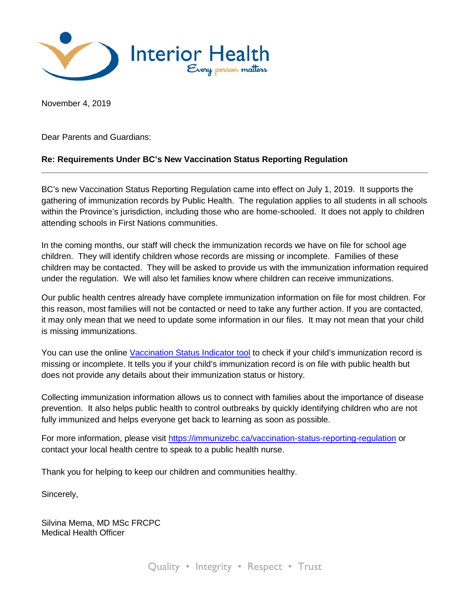

November 4, 2019

Dear Parents and Guardians:

## **Re: Requirements Under BC's New Vaccination Status Reporting Regulation**

BC's new Vaccination Status Reporting Regulation came into effect on July 1, 2019. It supports the gathering of immunization records by Public Health. The regulation applies to all students in all schools within the Province's jurisdiction, including those who are home-schooled. It does not apply to children attending schools in First Nations communities.

In the coming months, our staff will check the immunization records we have on file for school age children. They will identify children whose records are missing or incomplete. Families of these children may be contacted. They will be asked to provide us with the immunization information required under the regulation. We will also let families know where children can receive immunizations.

Our public health centres already have complete immunization information on file for most children. For this reason, most families will not be contacted or need to take any further action. If you are contacted, it may only mean that we need to update some information in our files. It may not mean that your child is missing immunizations.

You can use the online [Vaccination Status Indicator tool](https://immunizebc.ca/vaccination-status-indicator) to check if your child's immunization record is missing or incomplete. It tells you if your child's immunization record is on file with public health but does not provide any details about their immunization status or history.

Collecting immunization information allows us to connect with families about the importance of disease prevention. It also helps public health to control outbreaks by quickly identifying children who are not fully immunized and helps everyone get back to learning as soon as possible.

For more information, please visit<https://immunizebc.ca/vaccination-status-reporting-regulation> or contact your local health centre to speak to a public health nurse.

Thank you for helping to keep our children and communities healthy.

Sincerely,

Silvina Mema, MD MSc FRCPC Medical Health Officer